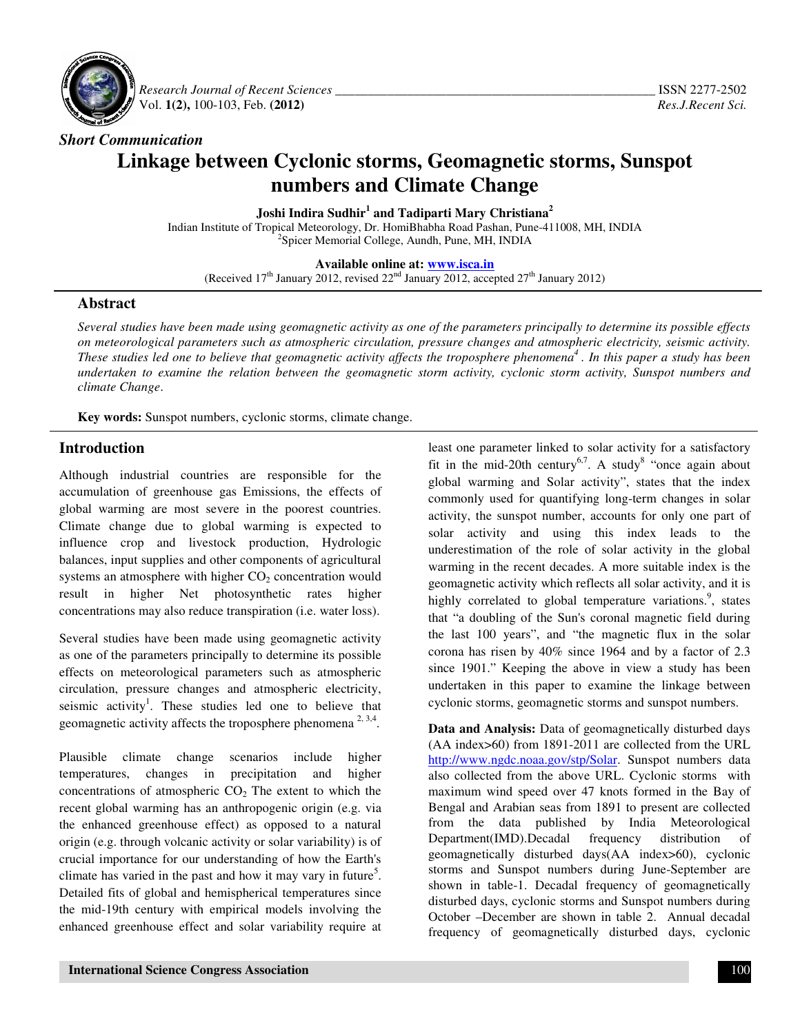

 *Research Journal of Recent Sciences \_\_\_\_\_\_\_\_\_\_\_\_\_\_\_\_\_\_\_\_\_\_\_\_\_\_\_\_\_\_\_\_\_\_\_\_\_\_\_\_\_\_\_\_\_\_\_\_\_* ISSN 2277-2502 Vol. **1(2),** 100-103, Feb. **(2012)** *Res.J.Recent Sci.*

# *Short Communication*  **Linkage between Cyclonic storms, Geomagnetic storms, Sunspot numbers and Climate Change**

**Joshi Indira Sudhir<sup>1</sup> and Tadiparti Mary Christiana<sup>2</sup>** 

Indian Institute of Tropical Meteorology, Dr. HomiBhabha Road Pashan, Pune-411008, MH, INDIA 2 Spicer Memorial College, Aundh, Pune, MH, INDIA

#### **Available online at: www.isca.in**

(Received 17<sup>th</sup> January 2012, revised  $22<sup>nd</sup>$  January 2012, accepted  $27<sup>th</sup>$  January 2012)

#### **Abstract**

*Several studies have been made using geomagnetic activity as one of the parameters principally to determine its possible effects on meteorological parameters such as atmospheric circulation, pressure changes and atmospheric electricity, seismic activity. These studies led one to believe that geomagnetic activity affects the troposphere phenomena<sup>4</sup>. In this paper a study has been undertaken to examine the relation between the geomagnetic storm activity, cyclonic storm activity, Sunspot numbers and climate Change*.

**Key words:** Sunspot numbers, cyclonic storms, climate change.

### **Introduction**

Although industrial countries are responsible for the accumulation of greenhouse gas Emissions, the effects of global warming are most severe in the poorest countries. Climate change due to global warming is expected to influence crop and livestock production, Hydrologic balances, input supplies and other components of agricultural systems an atmosphere with higher  $CO<sub>2</sub>$  concentration would result in higher Net photosynthetic rates higher concentrations may also reduce transpiration (i.e. water loss).

Several studies have been made using geomagnetic activity as one of the parameters principally to determine its possible effects on meteorological parameters such as atmospheric circulation, pressure changes and atmospheric electricity, seismic activity<sup>1</sup>. These studies led one to believe that geomagnetic activity affects the troposphere phenomena<sup>2, 3,4</sup>.

Plausible climate change scenarios include higher temperatures, changes in precipitation and higher concentrations of atmospheric  $CO<sub>2</sub>$  The extent to which the recent global warming has an anthropogenic origin (e.g. via the enhanced greenhouse effect) as opposed to a natural origin (e.g. through volcanic activity or solar variability) is of crucial importance for our understanding of how the Earth's climate has varied in the past and how it may vary in future<sup>5</sup>. Detailed fits of global and hemispherical temperatures since the mid-19th century with empirical models involving the enhanced greenhouse effect and solar variability require at

least one parameter linked to solar activity for a satisfactory fit in the mid-20th century<sup>6,7</sup>. A study<sup>8</sup> "once again about global warming and Solar activity", states that the index commonly used for quantifying long-term changes in solar activity, the sunspot number, accounts for only one part of solar activity and using this index leads to the underestimation of the role of solar activity in the global warming in the recent decades. A more suitable index is the geomagnetic activity which reflects all solar activity, and it is highly correlated to global temperature variations.<sup>9</sup>, states that "a doubling of the Sun's coronal magnetic field during the last 100 years", and "the magnetic flux in the solar corona has risen by 40% since 1964 and by a factor of 2.3 since 1901." Keeping the above in view a study has been undertaken in this paper to examine the linkage between cyclonic storms, geomagnetic storms and sunspot numbers.

**Data and Analysis:** Data of geomagnetically disturbed days (AA index>60) from 1891-2011 are collected from the URL http://www.ngdc.noaa.gov/stp/Solar. Sunspot numbers data also collected from the above URL. Cyclonic storms with maximum wind speed over 47 knots formed in the Bay of Bengal and Arabian seas from 1891 to present are collected from the data published by India Meteorological Department(IMD).Decadal frequency distribution of geomagnetically disturbed days(AA index>60), cyclonic storms and Sunspot numbers during June-September are shown in table-1. Decadal frequency of geomagnetically disturbed days, cyclonic storms and Sunspot numbers during October –December are shown in table 2. Annual decadal frequency of geomagnetically disturbed days, cyclonic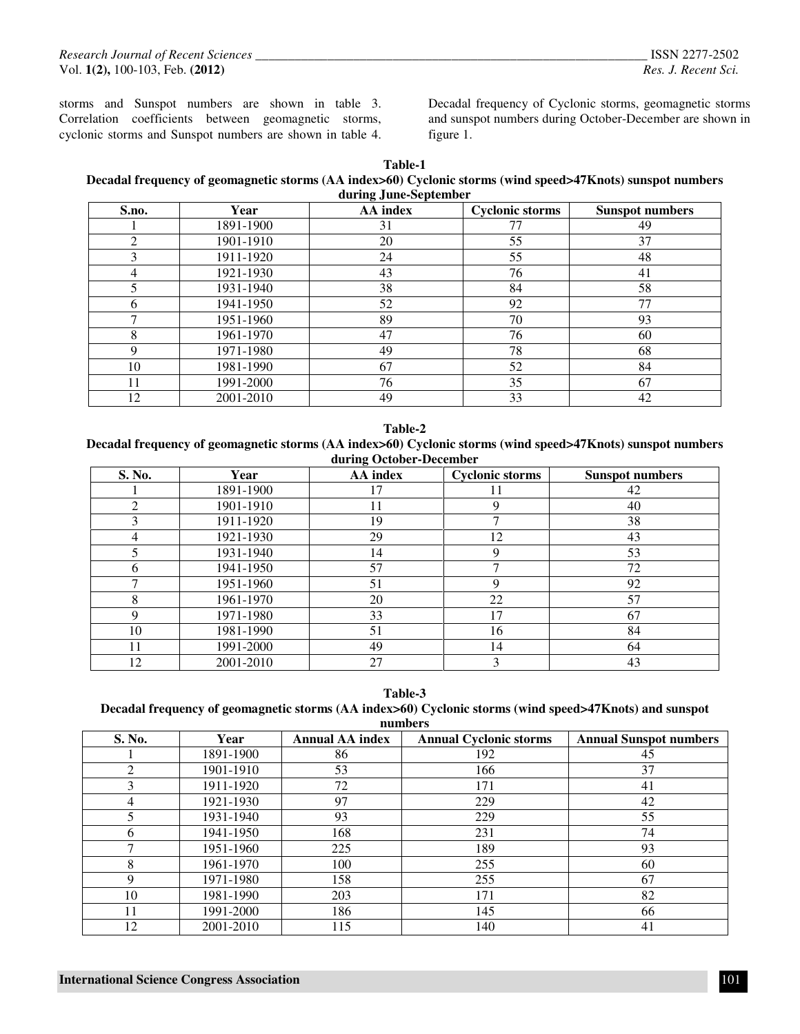*Research Journal of Recent Sciences \_\_\_\_\_\_\_\_\_\_\_\_\_\_\_\_\_\_\_\_\_\_\_\_\_\_\_\_\_\_\_\_\_\_\_\_\_\_\_\_\_\_\_\_\_\_\_\_\_\_\_\_\_\_\_\_\_\_\_\_* ISSN 2277-2502 Vol. **1(2),** 100-103, Feb. **(2012)** *Res. J. Recent Sci.* 

storms and Sunspot numbers are shown in table 3. Correlation coefficients between geomagnetic storms, cyclonic storms and Sunspot numbers are shown in table 4. Decadal frequency of Cyclonic storms, geomagnetic storms and sunspot numbers during October-December are shown in figure 1.

**Table-1** 

**Decadal frequency of geomagnetic storms (AA index>60) Cyclonic storms (wind speed>47Knots) sunspot numbers during June-September** 

| S.no. | Year      | AA index | <b>Cyclonic storms</b> | <b>Sunspot numbers</b> |
|-------|-----------|----------|------------------------|------------------------|
|       | 1891-1900 | 31       | 77                     | 49                     |
| ↑     | 1901-1910 | 20       | 55                     | 37                     |
| 3     | 1911-1920 | 24       | 55                     | 48                     |
| 4     | 1921-1930 | 43       | 76                     | 41                     |
|       | 1931-1940 | 38       | 84                     | 58                     |
| 6     | 1941-1950 | 52       | 92                     | 77                     |
|       | 1951-1960 | 89       | 70                     | 93                     |
| 8     | 1961-1970 | 47       | 76                     | 60                     |
|       | 1971-1980 | 49       | 78                     | 68                     |
| 10    | 1981-1990 | 67       | 52                     | 84                     |
| 11    | 1991-2000 | 76       | 35                     | 67                     |
| 12    | 2001-2010 | 49       | 33                     | 42                     |

**Table-2** 

**Decadal frequency of geomagnetic storms (AA index>60) Cyclonic storms (wind speed>47Knots) sunspot numbers during October-December** 

| S. No. | Year      | .<br>AA index | <b>Cyclonic storms</b> | <b>Sunspot numbers</b> |
|--------|-----------|---------------|------------------------|------------------------|
|        | 1891-1900 | ۱7            |                        | 42                     |
| ◠      | 1901-1910 | 11            |                        | 40                     |
|        | 1911-1920 | 19            |                        | 38                     |
| 4      | 1921-1930 | 29            | 12                     | 43                     |
|        | 1931-1940 | 14            | 9                      | 53                     |
| 6      | 1941-1950 | 57            | ⇁                      | 72                     |
|        | 1951-1960 | 51            | 9                      | 92                     |
| o      | 1961-1970 | 20            | 22                     | 57                     |
| Q      | 1971-1980 | 33            | 17                     | 67                     |
| 10     | 1981-1990 | 51            | 16                     | 84                     |
| 11     | 1991-2000 | 49            | 14                     | 64                     |
| 12     | 2001-2010 | 27            | 3                      | 43                     |

**Table-3** 

| Decadal frequency of geomagnetic storms (AA index>60) Cyclonic storms (wind speed>47Knots) and sunspot |
|--------------------------------------------------------------------------------------------------------|
| numhers                                                                                                |

| S. No.       | Year      | <b>Annual AA index</b> | <b>Annual Cyclonic storms</b> | <b>Annual Sunspot numbers</b> |
|--------------|-----------|------------------------|-------------------------------|-------------------------------|
|              | 1891-1900 | 86                     | 192                           | 45                            |
| ◠            | 1901-1910 | 53                     | 166                           | 37                            |
|              | 1911-1920 | 72                     | 171                           | 41                            |
| 4            | 1921-1930 | 97                     | 229                           | 42                            |
|              | 1931-1940 | 93                     | 229                           | 55                            |
| <sub>6</sub> | 1941-1950 | 168                    | 231                           | 74                            |
|              | 1951-1960 | 225                    | 189                           | 93                            |
| 8            | 1961-1970 | 100                    | 255                           | 60                            |
| Q            | 1971-1980 | 158                    | 255                           | 67                            |
| 10           | 1981-1990 | 203                    | 171                           | 82                            |
| 11           | 1991-2000 | 186                    | 145                           | 66                            |
| 12           | 2001-2010 | 115                    | 140                           | 41                            |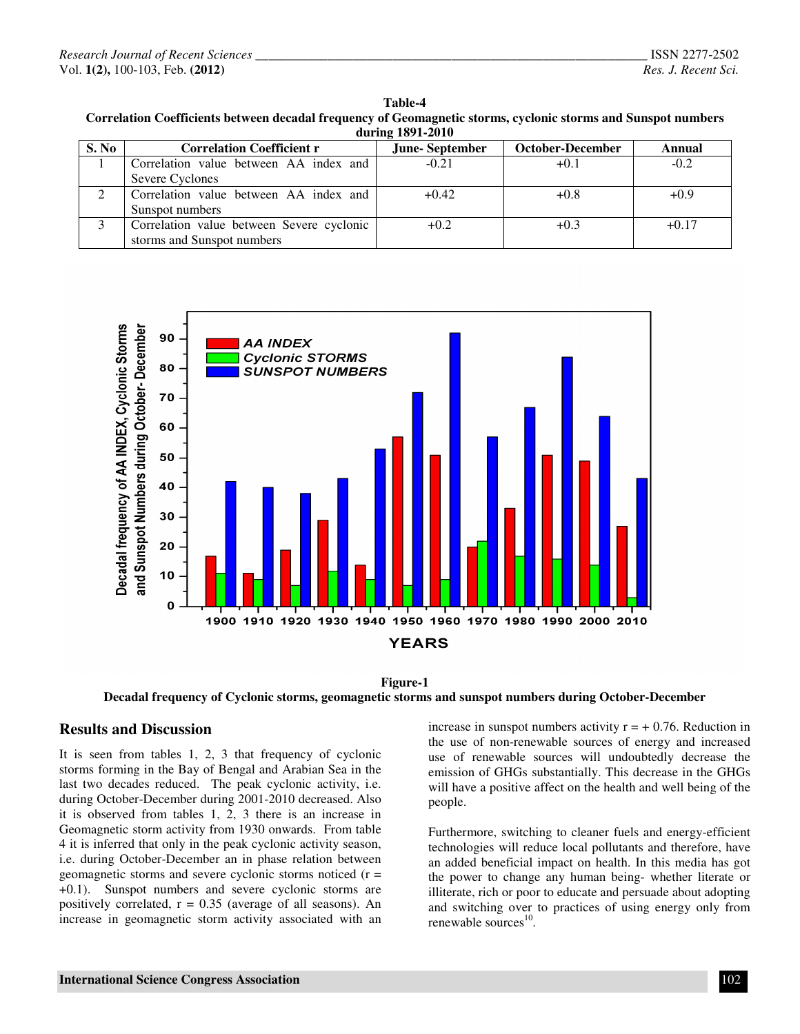| Table-4                                                                                                       |
|---------------------------------------------------------------------------------------------------------------|
| Correlation Coefficients between decadal frequency of Geomagnetic storms, cyclonic storms and Sunspot numbers |
| during 1891-2010                                                                                              |

| $-0.000$ |                                           |                       |                         |               |  |  |
|----------|-------------------------------------------|-----------------------|-------------------------|---------------|--|--|
| S. No    | <b>Correlation Coefficient r</b>          | <b>June-September</b> | <b>October-December</b> | <b>Annual</b> |  |  |
|          | Correlation value between AA index and    | $-0.21$               | $+0.1$                  | $-0.2$        |  |  |
|          | Severe Cyclones                           |                       |                         |               |  |  |
|          | Correlation value between AA index and    | $+0.42$               | $+0.8$                  | $+0.9$        |  |  |
|          | Sunspot numbers                           |                       |                         |               |  |  |
|          | Correlation value between Severe cyclonic | $+0.2$                | $+0.3$                  | $+0.17$       |  |  |
|          | storms and Sunspot numbers                |                       |                         |               |  |  |







#### **Results and Discussion**

It is seen from tables 1, 2, 3 that frequency of cyclonic storms forming in the Bay of Bengal and Arabian Sea in the last two decades reduced. The peak cyclonic activity, i.e. during October-December during 2001-2010 decreased. Also it is observed from tables 1, 2, 3 there is an increase in Geomagnetic storm activity from 1930 onwards. From table 4 it is inferred that only in the peak cyclonic activity season, i.e. during October-December an in phase relation between geomagnetic storms and severe cyclonic storms noticed  $(r =$ +0.1). Sunspot numbers and severe cyclonic storms are positively correlated,  $r = 0.35$  (average of all seasons). An increase in geomagnetic storm activity associated with an

increase in sunspot numbers activity  $r = +0.76$ . Reduction in the use of non-renewable sources of energy and increased use of renewable sources will undoubtedly decrease the emission of GHGs substantially. This decrease in the GHGs will have a positive affect on the health and well being of the people.

Furthermore, switching to cleaner fuels and energy-efficient technologies will reduce local pollutants and therefore, have an added beneficial impact on health. In this media has got the power to change any human being- whether literate or illiterate, rich or poor to educate and persuade about adopting and switching over to practices of using energy only from renewable sources<sup>10</sup>.